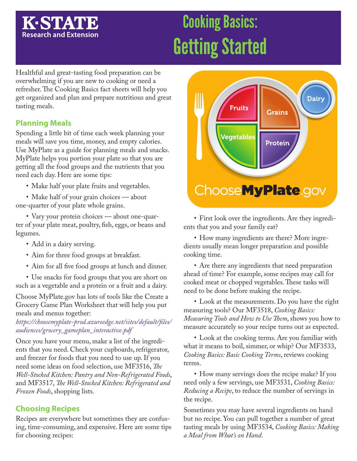## **K-STA7 Research and Extension**

# Cooking Basics: Getting Started

Healthful and great-tasting food preparation can be overwhelming if you are new to cooking or need a refresher. The Cooking Basics fact sheets will help you get organized and plan and prepare nutritious and great tasting meals.

## **Planning Meals**

Spending a little bit of time each week planning your meals will save you time, money, and empty calories. Use MyPlate as a guide for planning meals and snacks. MyPlate helps you portion your plate so that you are getting all the food groups and the nutrients that you need each day. Here are some tips:

• Make half your plate fruits and vegetables.

• Make half of your grain choices — about one-quarter of your plate whole grains.

• Vary your protein choices — about one-quarter of your plate meat, poultry, fish, eggs, or beans and legumes.

- Add in a dairy serving.
- Aim for three food groups at breakfast.
- Aim for all five food groups at lunch and dinner.

• Use snacks for food groups that you are short on such as a vegetable and a protein or a fruit and a dairy.

Choose MyPlate.gov has lots of tools like the Create a Grocery Game Plan Worksheet that will help you put meals and menus together:

*https://choosemyplate-prod.azureedge.net/sites/default/files/ audiences/grocery\_gameplan\_interactive.pdf*

Once you have your menu, make a list of the ingredients that you need. Check your cupboards, refrigerator, and freezer for foods that you need to use up. If you need some ideas on food selection, use MF3516, *The Well-Stocked Kitchen: Pantry and Non-Refrigerated Foods*, and MF3517, *The Well-Stocked Kitchen: Refrigerated and Frozen Foods*, shopping lists.

## **Choosing Recipes**

Recipes are everywhere but sometimes they are confusing, time-consuming, and expensive. Here are some tips for choosing recipes:



• First look over the ingredients. Are they ingredients that you and your family eat?

• How many ingredients are there? More ingredients usually mean longer preparation and possible cooking time.

• Are there any ingredients that need preparation ahead of time? For example, some recipes may call for cooked meat or chopped vegetables. These tasks will need to be done before making the recipe.

• Look at the measurements. Do you have the right measuring tools? Our MF3518, *Cooking Basics: Measuring Tools and How to Use Them*, shows you how to measure accurately so your recipe turns out as expected.

• Look at the cooking terms. Are you familiar with what it means to boil, simmer, or whip? Our MF3533, *Cooking Basics: Basic Cooking Terms*, reviews cooking terms.

• How many servings does the recipe make? If you need only a few servings, use MF3531, *Cooking Basics: Reducing a Recipe*, to reduce the number of servings in the recipe.

Sometimes you may have several ingredients on hand but no recipe. You can pull together a number of great tasting meals by using MF3534, *Cooking Basics: Making a Meal from What's on Hand*.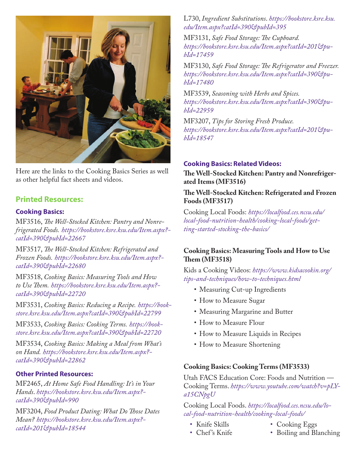

Here are the links to the Cooking Basics Series as well as other helpful fact sheets and videos.

## **Printed Resources:**

#### **Cooking Basics:**

MF3516, *The Well-Stocked Kitchen: Pantry and Nonrefrigerated Foods. [https://bookstore.ksre.ksu.edu/Item.aspx?](https://bookstore.ksre.ksu.edu/Item.aspx?catId=390&pubId=22667) catId=390&pubId=22667*

MF3517, *The Well-Stocked Kitchen: Refrigerated and Frozen Foods. [https://bookstore.ksre.ksu.edu/Item.aspx?](https://bookstore.ksre.ksu.edu/Item.aspx?catId=390&pubId=22680) catId=390&pubId=22680*

MF3518, *Cooking Basics: Measuring Tools and How to Use Them. [https://bookstore.ksre.ksu.edu/Item.aspx?](https://bookstore.ksre.ksu.edu/Item.aspx?catId=390&pubId=22719) catId=390&pubId=22720*

MF3531, *Cooking Basics: Reducing a Recipe. https://book[store.ksre.ksu.edu/Item.aspx?catId=390&pubId=22799](https://bookstore.ksre.ksu.edu/Item.aspx?catId=390&pubId=22799)*

MF3533, *Cooking Basics: Cooking Terms. https://book[store.ksre.ksu.edu/Item.aspx?catId=390&pubId=22720](https://bookstore.ksre.ksu.edu/Item.aspx?catId=390&pubId=22720)*

MF3534, *Cooking Basics: Making a Meal from What's on Hand. [https://bookstore.ksre.ksu.edu/Item.aspx?](https://bookstore.ksre.ksu.edu/Item.aspx?catId=390&pubId=22862) catId=390&pubId=22862*

#### **Other Printed Resources:**

MF2465, *[At Home Safe Food Handling: It's in Your](https://bookstore.ksre.ksu.edu/Item.aspx?catId=390&pubId=990)  Hands*. *https://bookstore.ksre.ksu.edu/Item.aspx? catId=390&pubId=990*

MF3204, *Food Product Dating: What Do Those Dates Mean? [https://bookstore.ksre.ksu.edu/Item.aspx?](https://bookstore.ksre.ksu.edu/Item.aspx?catId=201&pubId=18544) catId=201&pubId=18544*

L730, *Ingredient Substitutions*. *https://bookstore.ksre.ksu. edu/Item.aspx?catId=390&pubId=395*

MF3131, *Safe Food Storage: The Cupboard. [https://bookstore.ksre.ksu.edu/Item.aspx?catId=201&pu](https://bookstore.ksre.ksu.edu/Item.aspx?catId=390&pubId=17459)bId=17459*

MF3130, *Safe Food Storage: The Refrigerator and Freezer. [https://bookstore.ksre.ksu.edu/Item.aspx?catId=390&pu](https://bookstore.ksre.ksu.edu/Item.aspx?catId=390&pubId=17480)bId=17480*

MF3539, *Seasoning with Herbs and Spices. [https://bookstore.ksre.ksu.edu/Item.aspx?catId=390&pu](https://bookstore.ksre.ksu.edu/Item.aspx?catId=390&pubId=22959)bId=22959*

MF3207, *Tips for Storing Fresh Produce. [https://bookstore.ksre.ksu.edu/Item.aspx?catId=201&pu](https://bookstore.ksre.ksu.edu/Item.aspx?catId=201&pubId=18547)bId=18547*

#### **Cooking Basics: Related Videos:**

**The Well-Stocked Kitchen: Pantry and Nonrefrigerated Items (MF3516)**

#### **The Well-Stocked Kitchen: Refrigerated and Frozen Foods (MF3517)**

Cooking Local Foods: *https://localfood.ces.ncsu.edu/ [local-food-nutrition-health/cooking-local-foods/get](https://localfood.ces.ncsu.edu/local-food-nutrition-health/cooking-local-foods/getting-started-stocking-the-basics/)ting-started-stocking-the-basics/*

#### **Cooking Basics: Measuring Tools and How to Use Them (MF3518)**

Kids a Cooking Videos: *https://www.kidsacookin.org/ tips-and-techniques/how-to-techniques.html*

- Measuring Cut-up Ingredients
- How to Measure Sugar
- Measuring Margarine and Butter
- How to Measure Flour
- How to Measure Liquids in Recipes
- How to Measure Shortening

#### **Cooking Basics: Cooking Terms (MF3533)**

Utah FACS Education Core: Foods and Nutrition — Cooking Terms. *[https://www.youtube.com/watch?v=pLY](https://www.youtube.com/watch?v=pLYa15CNpgU&t=45s)a15CNpgU*

Cooking Local Foods. *https://localfood.ces.ncsu.edu/local-food-nutrition-health/cooking-local-foods/*

- Knife Skills
- Chef 's Knife
- Cooking Eggs
- Boiling and Blanching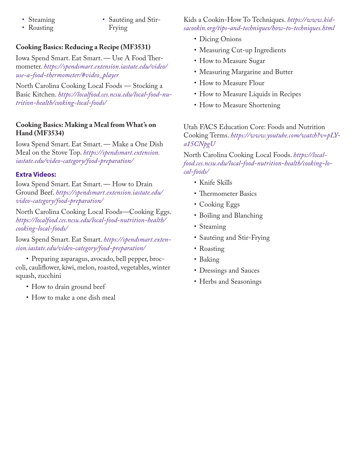- Steaming
- Roasting

• Sautéing and Stir-Frying

## **Cooking Basics: Reducing a Recipe (MF3531)**

Iowa Spend Smart. Eat Smart. — Use A Food Thermometer. *https://spendsmart.extension.iastate.edu/video/ use-a-food-thermometer/#video\_player*

North Carolina Cooking Local Foods — Stocking a Basic Kitchen. *https://localfood.ces.ncsu.edu/local-food-nutrition-health/cooking-local-foods/*

### **Cooking Basics: Making a Meal from What's on Hand (MF3534)**

Iowa Spend Smart. Eat Smart. — Make a One Dish Meal on the Stove Top. *https://spendsmart.extension. iastate.edu/video-category/food-preparation/*

## **Extra Videos:**

Iowa Spend Smart. Eat Smart. — How to Drain Ground Beef. *https://spendsmart.extension.iastate.edu/ video-category/food-preparation/*

North Carolina Cooking Local Foods—Cooking Eggs. *https://localfood.ces.ncsu.edu/local-food-nutrition-health/ cooking-local-foods/*

Iowa Spend Smart. Eat Smart. *https://spendsmart.exten[sion.iastate.edu/video-category/food-preparation/](https://spendsmart.extension.iastate.edu/video-category/food-preparation/)*

• Preparing asparagus, avocado, bell pepper, broccoli, cauliflower, kiwi, melon, roasted, vegetables, winter squash, zucchini

- How to drain ground beef
- How to make a one dish meal

Kids a Cookin-How To Techniques. *https://www.kid[sacookin.org/tips-and-techniques/how-to-techniques.html](https://www.kidsacookin.org/)*

- Dicing Onions
- Measuring Cut-up Ingredients
- How to Measure Sugar
- Measuring Margarine and Butter
- How to Measure Flour
- How to Measure Liquids in Recipes
- How to Measure Shortening

Utah FACS Education Core: Foods and Nutrition Cooking Terms. *[https://www.youtube.com/watch?v=pLY](https://www.youtube.com/watch?v=pLYa15CNpgU&t=45s)a15CNpgU*

North Carolina Cooking Local Foods. *https://local[food.ces.ncsu.edu/local-food-nutrition-health/cooking-lo](https://localfood.ces.ncsu.edu/)cal-foods/*

- Knife Skills
- Thermometer Basics
- Cooking Eggs
- Boiling and Blanching
- Steaming
- Sautéing and Stir-Frying
- Roasting
- Baking
- Dressings and Sauces
- Herbs and Seasonings